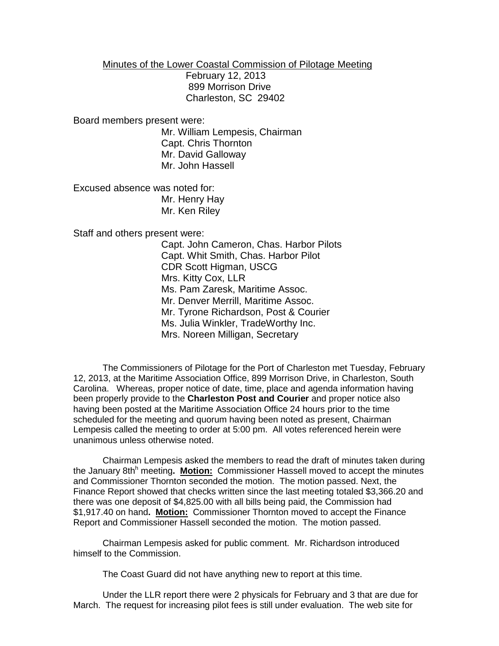Minutes of the Lower Coastal Commission of Pilotage Meeting

 February 12, 2013 899 Morrison Drive Charleston, SC 29402

Board members present were:

Mr. William Lempesis, Chairman Capt. Chris Thornton Mr. David Galloway Mr. John Hassell

Excused absence was noted for: Mr. Henry Hay Mr. Ken Riley

Staff and others present were:

Capt. John Cameron, Chas. Harbor Pilots Capt. Whit Smith, Chas. Harbor Pilot CDR Scott Higman, USCG Mrs. Kitty Cox, LLR Ms. Pam Zaresk, Maritime Assoc. Mr. Denver Merrill, Maritime Assoc. Mr. Tyrone Richardson, Post & Courier Ms. Julia Winkler, TradeWorthy Inc. Mrs. Noreen Milligan, Secretary

The Commissioners of Pilotage for the Port of Charleston met Tuesday, February 12, 2013, at the Maritime Association Office, 899 Morrison Drive, in Charleston, South Carolina. Whereas, proper notice of date, time, place and agenda information having been properly provide to the **Charleston Post and Courier** and proper notice also having been posted at the Maritime Association Office 24 hours prior to the time scheduled for the meeting and quorum having been noted as present, Chairman Lempesis called the meeting to order at 5:00 pm. All votes referenced herein were unanimous unless otherwise noted.

Chairman Lempesis asked the members to read the draft of minutes taken during the January 8th<sup>h</sup> meeting. **Motion:** Commissioner Hassell moved to accept the minutes and Commissioner Thornton seconded the motion. The motion passed. Next, the Finance Report showed that checks written since the last meeting totaled \$3,366.20 and there was one deposit of \$4,825.00 with all bills being paid, the Commission had \$1,917.40 on hand**. Motion:** Commissioner Thornton moved to accept the Finance Report and Commissioner Hassell seconded the motion. The motion passed.

Chairman Lempesis asked for public comment. Mr. Richardson introduced himself to the Commission.

The Coast Guard did not have anything new to report at this time.

Under the LLR report there were 2 physicals for February and 3 that are due for March. The request for increasing pilot fees is still under evaluation. The web site for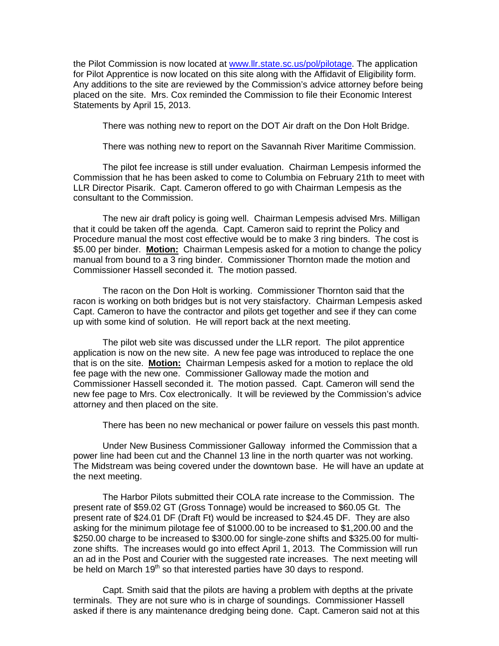the Pilot Commission is now located at [www.llr.state.sc.us/pol/pilotage.](http://www.llr.state.sc.us/pol/pilotage) The application for Pilot Apprentice is now located on this site along with the Affidavit of Eligibility form. Any additions to the site are reviewed by the Commission's advice attorney before being placed on the site. Mrs. Cox reminded the Commission to file their Economic Interest Statements by April 15, 2013.

There was nothing new to report on the DOT Air draft on the Don Holt Bridge.

There was nothing new to report on the Savannah River Maritime Commission.

The pilot fee increase is still under evaluation. Chairman Lempesis informed the Commission that he has been asked to come to Columbia on February 21th to meet with LLR Director Pisarik. Capt. Cameron offered to go with Chairman Lempesis as the consultant to the Commission.

The new air draft policy is going well. Chairman Lempesis advised Mrs. Milligan that it could be taken off the agenda. Capt. Cameron said to reprint the Policy and Procedure manual the most cost effective would be to make 3 ring binders. The cost is \$5.00 per binder. **Motion:** Chairman Lempesis asked for a motion to change the policy manual from bound to a 3 ring binder. Commissioner Thornton made the motion and Commissioner Hassell seconded it. The motion passed.

The racon on the Don Holt is working. Commissioner Thornton said that the racon is working on both bridges but is not very staisfactory. Chairman Lempesis asked Capt. Cameron to have the contractor and pilots get together and see if they can come up with some kind of solution. He will report back at the next meeting.

The pilot web site was discussed under the LLR report. The pilot apprentice application is now on the new site. A new fee page was introduced to replace the one that is on the site. **Motion:** Chairman Lempesis asked for a motion to replace the old fee page with the new one. Commissioner Galloway made the motion and Commissioner Hassell seconded it. The motion passed. Capt. Cameron will send the new fee page to Mrs. Cox electronically. It will be reviewed by the Commission's advice attorney and then placed on the site.

There has been no new mechanical or power failure on vessels this past month.

Under New Business Commissioner Galloway informed the Commission that a power line had been cut and the Channel 13 line in the north quarter was not working. The Midstream was being covered under the downtown base. He will have an update at the next meeting.

The Harbor Pilots submitted their COLA rate increase to the Commission. The present rate of \$59.02 GT (Gross Tonnage) would be increased to \$60.05 Gt. The present rate of \$24.01 DF (Draft Ft) would be increased to \$24.45 DF. They are also asking for the minimum pilotage fee of \$1000.00 to be increased to \$1,200.00 and the \$250.00 charge to be increased to \$300.00 for single-zone shifts and \$325.00 for multizone shifts. The increases would go into effect April 1, 2013. The Commission will run an ad in the Post and Courier with the suggested rate increases. The next meeting will be held on March  $19<sup>th</sup>$  so that interested parties have 30 days to respond.

Capt. Smith said that the pilots are having a problem with depths at the private terminals. They are not sure who is in charge of soundings. Commissioner Hassell asked if there is any maintenance dredging being done. Capt. Cameron said not at this